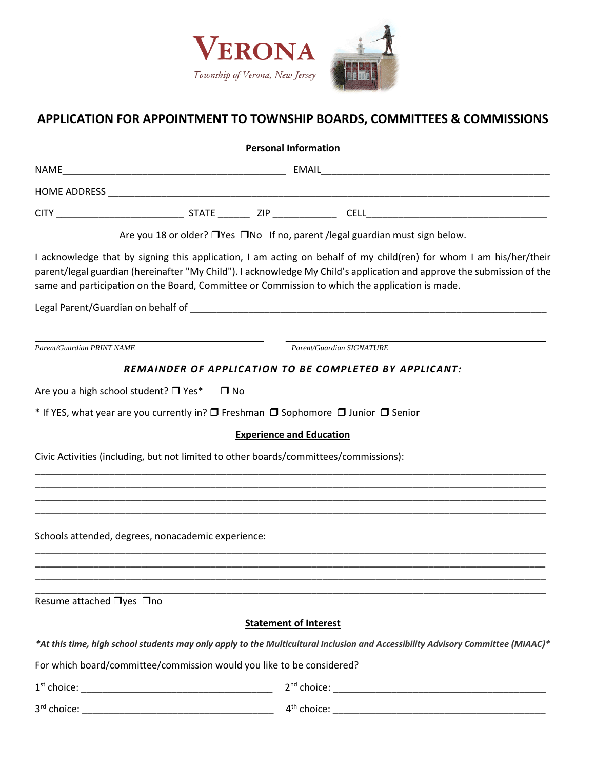

## **APPLICATION FOR APPOINTMENT TO TOWNSHIP BOARDS, COMMITTEES & COMMISSIONS**

| <b>Personal Information</b>                        |                                                                                                                                                                                                                                                                                                                                                |
|----------------------------------------------------|------------------------------------------------------------------------------------------------------------------------------------------------------------------------------------------------------------------------------------------------------------------------------------------------------------------------------------------------|
|                                                    |                                                                                                                                                                                                                                                                                                                                                |
|                                                    |                                                                                                                                                                                                                                                                                                                                                |
|                                                    |                                                                                                                                                                                                                                                                                                                                                |
|                                                    | Are you 18 or older? □ Yes □ No If no, parent / legal guardian must sign below.                                                                                                                                                                                                                                                                |
|                                                    | I acknowledge that by signing this application, I am acting on behalf of my child(ren) for whom I am his/her/their<br>parent/legal guardian (hereinafter "My Child"). I acknowledge My Child's application and approve the submission of the<br>same and participation on the Board, Committee or Commission to which the application is made. |
|                                                    |                                                                                                                                                                                                                                                                                                                                                |
|                                                    |                                                                                                                                                                                                                                                                                                                                                |
| <b>Parent/Guardian PRINT NAME</b>                  | Parent/Guardian SIGNATURE                                                                                                                                                                                                                                                                                                                      |
|                                                    | REMAINDER OF APPLICATION TO BE COMPLETED BY APPLICANT:                                                                                                                                                                                                                                                                                         |
| Are you a high school student? □ Yes*              | $\Box$ No                                                                                                                                                                                                                                                                                                                                      |
|                                                    | * If YES, what year are you currently in? □ Freshman □ Sophomore □ Junior □ Senior                                                                                                                                                                                                                                                             |
|                                                    | <b>Experience and Education</b>                                                                                                                                                                                                                                                                                                                |
|                                                    | Civic Activities (including, but not limited to other boards/committees/commissions):                                                                                                                                                                                                                                                          |
|                                                    |                                                                                                                                                                                                                                                                                                                                                |
|                                                    | ,我们也不能在这里的人,我们也不能在这里的人,我们也不能在这里的人,我们也不能在这里的人,我们也不能在这里的人,我们也不能在这里的人,我们也不能在这里的人,我们也                                                                                                                                                                                                                                                              |
|                                                    |                                                                                                                                                                                                                                                                                                                                                |
| Schools attended, degrees, nonacademic experience: |                                                                                                                                                                                                                                                                                                                                                |
|                                                    |                                                                                                                                                                                                                                                                                                                                                |
|                                                    |                                                                                                                                                                                                                                                                                                                                                |
| Resume attached □yes □no                           |                                                                                                                                                                                                                                                                                                                                                |
|                                                    | <b>Statement of Interest</b>                                                                                                                                                                                                                                                                                                                   |
|                                                    | *At this time, high school students may only apply to the Multicultural Inclusion and Accessibility Advisory Committee (MIAAC)*                                                                                                                                                                                                                |
|                                                    | For which board/committee/commission would you like to be considered?                                                                                                                                                                                                                                                                          |
|                                                    |                                                                                                                                                                                                                                                                                                                                                |
|                                                    |                                                                                                                                                                                                                                                                                                                                                |